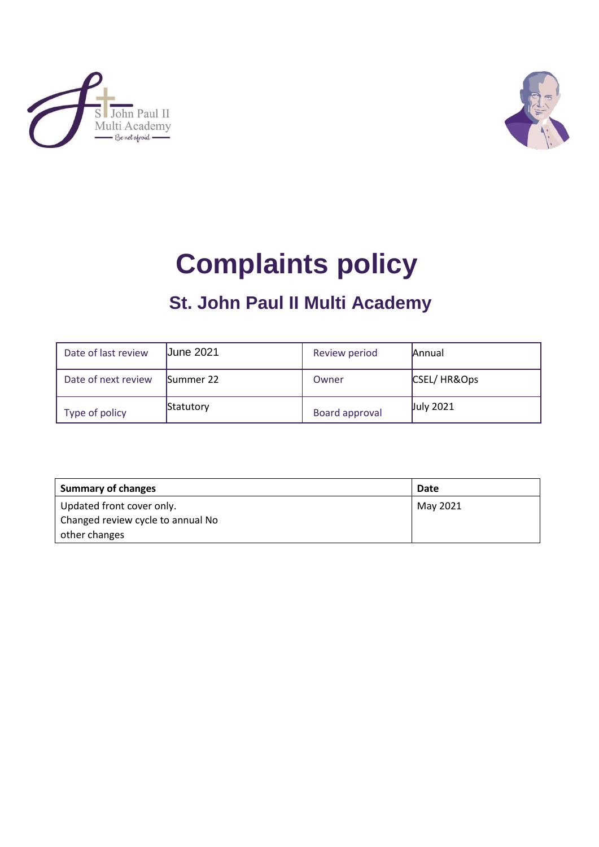



# **Complaints policy**

## **St. John Paul II Multi Academy**

| Date of last review | <b>June 2021</b> | Review period  | <b>Annual</b>    |
|---------------------|------------------|----------------|------------------|
| Date of next review | Summer 22        | Owner          | CSEL/HR&Ops      |
| Type of policy      | Statutory        | Board approval | <b>July 2021</b> |

| <b>Summary of changes</b>         | Date     |
|-----------------------------------|----------|
| Updated front cover only.         | May 2021 |
| Changed review cycle to annual No |          |
| other changes                     |          |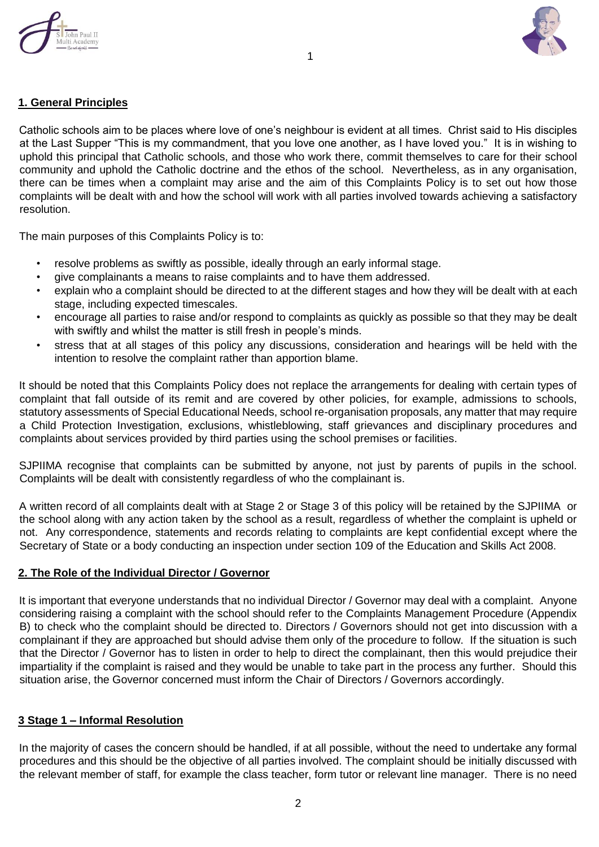



#### **1. General Principles**

Catholic schools aim to be places where love of one's neighbour is evident at all times. Christ said to His disciples at the Last Supper "This is my commandment, that you love one another, as I have loved you." It is in wishing to uphold this principal that Catholic schools, and those who work there, commit themselves to care for their school community and uphold the Catholic doctrine and the ethos of the school. Nevertheless, as in any organisation, there can be times when a complaint may arise and the aim of this Complaints Policy is to set out how those complaints will be dealt with and how the school will work with all parties involved towards achieving a satisfactory resolution.

1

The main purposes of this Complaints Policy is to:

- resolve problems as swiftly as possible, ideally through an early informal stage.
- give complainants a means to raise complaints and to have them addressed.
- explain who a complaint should be directed to at the different stages and how they will be dealt with at each stage, including expected timescales.
- encourage all parties to raise and/or respond to complaints as quickly as possible so that they may be dealt with swiftly and whilst the matter is still fresh in people's minds.
- stress that at all stages of this policy any discussions, consideration and hearings will be held with the intention to resolve the complaint rather than apportion blame.

It should be noted that this Complaints Policy does not replace the arrangements for dealing with certain types of complaint that fall outside of its remit and are covered by other policies, for example, admissions to schools, statutory assessments of Special Educational Needs, school re-organisation proposals, any matter that may require a Child Protection Investigation, exclusions, whistleblowing, staff grievances and disciplinary procedures and complaints about services provided by third parties using the school premises or facilities.

SJPIIMA recognise that complaints can be submitted by anyone, not just by parents of pupils in the school. Complaints will be dealt with consistently regardless of who the complainant is.

A written record of all complaints dealt with at Stage 2 or Stage 3 of this policy will be retained by the SJPIIMA or the school along with any action taken by the school as a result, regardless of whether the complaint is upheld or not. Any correspondence, statements and records relating to complaints are kept confidential except where the Secretary of State or a body conducting an inspection under section 109 of the Education and Skills Act 2008.

#### **2. The Role of the Individual Director / Governor**

It is important that everyone understands that no individual Director / Governor may deal with a complaint. Anyone considering raising a complaint with the school should refer to the Complaints Management Procedure (Appendix B) to check who the complaint should be directed to. Directors / Governors should not get into discussion with a complainant if they are approached but should advise them only of the procedure to follow. If the situation is such that the Director / Governor has to listen in order to help to direct the complainant, then this would prejudice their impartiality if the complaint is raised and they would be unable to take part in the process any further. Should this situation arise, the Governor concerned must inform the Chair of Directors / Governors accordingly.

#### **3 Stage 1 – Informal Resolution**

In the majority of cases the concern should be handled, if at all possible, without the need to undertake any formal procedures and this should be the objective of all parties involved. The complaint should be initially discussed with the relevant member of staff, for example the class teacher, form tutor or relevant line manager. There is no need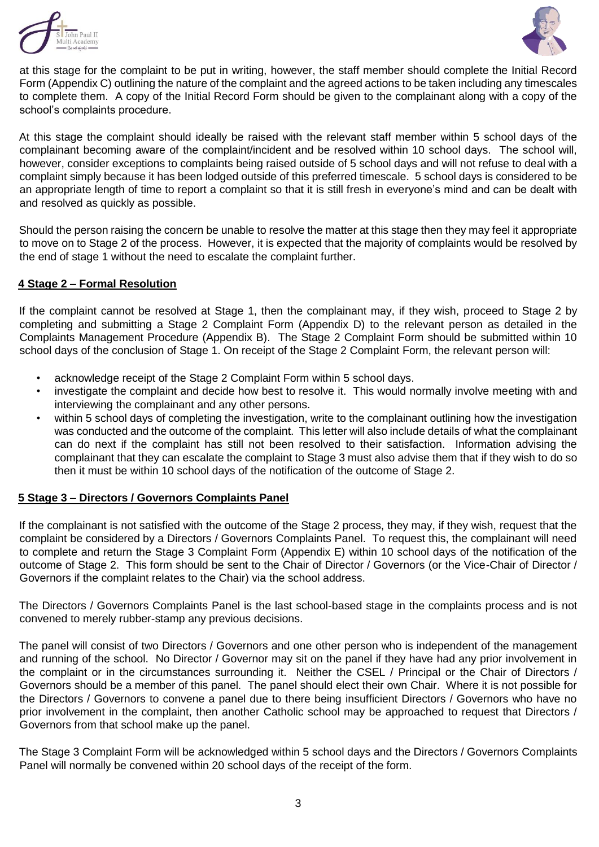



at this stage for the complaint to be put in writing, however, the staff member should complete the Initial Record Form (Appendix C) outlining the nature of the complaint and the agreed actions to be taken including any timescales to complete them. A copy of the Initial Record Form should be given to the complainant along with a copy of the school's complaints procedure.

At this stage the complaint should ideally be raised with the relevant staff member within 5 school days of the complainant becoming aware of the complaint/incident and be resolved within 10 school days. The school will, however, consider exceptions to complaints being raised outside of 5 school days and will not refuse to deal with a complaint simply because it has been lodged outside of this preferred timescale. 5 school days is considered to be an appropriate length of time to report a complaint so that it is still fresh in everyone's mind and can be dealt with and resolved as quickly as possible.

Should the person raising the concern be unable to resolve the matter at this stage then they may feel it appropriate to move on to Stage 2 of the process. However, it is expected that the majority of complaints would be resolved by the end of stage 1 without the need to escalate the complaint further.

#### **4 Stage 2 – Formal Resolution**

If the complaint cannot be resolved at Stage 1, then the complainant may, if they wish, proceed to Stage 2 by completing and submitting a Stage 2 Complaint Form (Appendix D) to the relevant person as detailed in the Complaints Management Procedure (Appendix B). The Stage 2 Complaint Form should be submitted within 10 school days of the conclusion of Stage 1. On receipt of the Stage 2 Complaint Form, the relevant person will:

- acknowledge receipt of the Stage 2 Complaint Form within 5 school days.
- investigate the complaint and decide how best to resolve it. This would normally involve meeting with and interviewing the complainant and any other persons.
- within 5 school days of completing the investigation, write to the complainant outlining how the investigation was conducted and the outcome of the complaint. This letter will also include details of what the complainant can do next if the complaint has still not been resolved to their satisfaction. Information advising the complainant that they can escalate the complaint to Stage 3 must also advise them that if they wish to do so then it must be within 10 school days of the notification of the outcome of Stage 2.

#### **5 Stage 3 – Directors / Governors Complaints Panel**

If the complainant is not satisfied with the outcome of the Stage 2 process, they may, if they wish, request that the complaint be considered by a Directors / Governors Complaints Panel. To request this, the complainant will need to complete and return the Stage 3 Complaint Form (Appendix E) within 10 school days of the notification of the outcome of Stage 2. This form should be sent to the Chair of Director / Governors (or the Vice-Chair of Director / Governors if the complaint relates to the Chair) via the school address.

The Directors / Governors Complaints Panel is the last school-based stage in the complaints process and is not convened to merely rubber-stamp any previous decisions.

The panel will consist of two Directors / Governors and one other person who is independent of the management and running of the school. No Director / Governor may sit on the panel if they have had any prior involvement in the complaint or in the circumstances surrounding it. Neither the CSEL / Principal or the Chair of Directors / Governors should be a member of this panel. The panel should elect their own Chair. Where it is not possible for the Directors / Governors to convene a panel due to there being insufficient Directors / Governors who have no prior involvement in the complaint, then another Catholic school may be approached to request that Directors / Governors from that school make up the panel.

The Stage 3 Complaint Form will be acknowledged within 5 school days and the Directors / Governors Complaints Panel will normally be convened within 20 school days of the receipt of the form.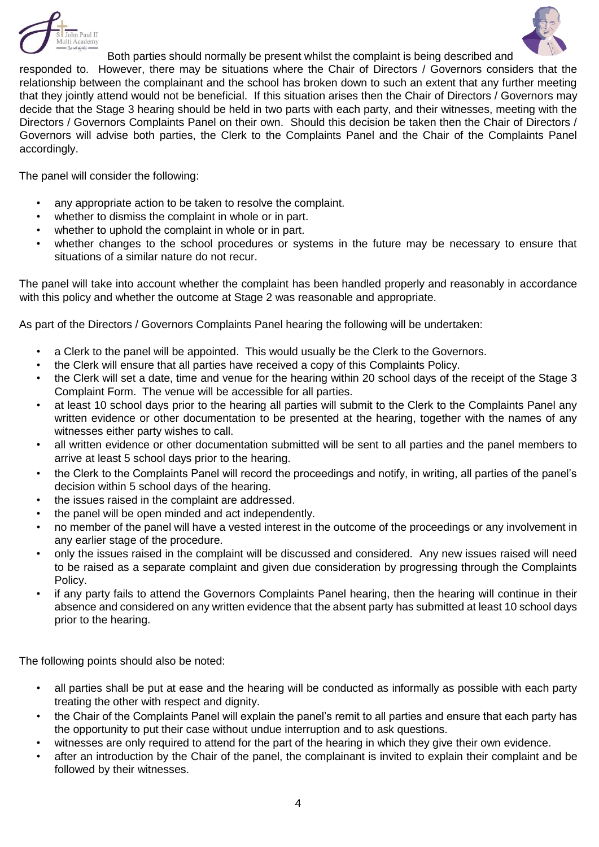



Both parties should normally be present whilst the complaint is being described and responded to. However, there may be situations where the Chair of Directors / Governors considers that the relationship between the complainant and the school has broken down to such an extent that any further meeting that they jointly attend would not be beneficial. If this situation arises then the Chair of Directors / Governors may decide that the Stage 3 hearing should be held in two parts with each party, and their witnesses, meeting with the Directors / Governors Complaints Panel on their own. Should this decision be taken then the Chair of Directors / Governors will advise both parties, the Clerk to the Complaints Panel and the Chair of the Complaints Panel accordingly.

The panel will consider the following:

- any appropriate action to be taken to resolve the complaint.
- whether to dismiss the complaint in whole or in part.
- whether to uphold the complaint in whole or in part.
- whether changes to the school procedures or systems in the future may be necessary to ensure that situations of a similar nature do not recur.

The panel will take into account whether the complaint has been handled properly and reasonably in accordance with this policy and whether the outcome at Stage 2 was reasonable and appropriate.

As part of the Directors / Governors Complaints Panel hearing the following will be undertaken:

- a Clerk to the panel will be appointed. This would usually be the Clerk to the Governors.
- the Clerk will ensure that all parties have received a copy of this Complaints Policy.
- the Clerk will set a date, time and venue for the hearing within 20 school days of the receipt of the Stage 3 Complaint Form. The venue will be accessible for all parties.
- at least 10 school days prior to the hearing all parties will submit to the Clerk to the Complaints Panel any written evidence or other documentation to be presented at the hearing, together with the names of any witnesses either party wishes to call.
- all written evidence or other documentation submitted will be sent to all parties and the panel members to arrive at least 5 school days prior to the hearing.
- the Clerk to the Complaints Panel will record the proceedings and notify, in writing, all parties of the panel's decision within 5 school days of the hearing.
- the issues raised in the complaint are addressed.
- the panel will be open minded and act independently.
- no member of the panel will have a vested interest in the outcome of the proceedings or any involvement in any earlier stage of the procedure.
- only the issues raised in the complaint will be discussed and considered. Any new issues raised will need to be raised as a separate complaint and given due consideration by progressing through the Complaints Policy.
- if any party fails to attend the Governors Complaints Panel hearing, then the hearing will continue in their absence and considered on any written evidence that the absent party has submitted at least 10 school days prior to the hearing.

The following points should also be noted:

- all parties shall be put at ease and the hearing will be conducted as informally as possible with each party treating the other with respect and dignity.
- the Chair of the Complaints Panel will explain the panel's remit to all parties and ensure that each party has the opportunity to put their case without undue interruption and to ask questions.
- witnesses are only required to attend for the part of the hearing in which they give their own evidence.
- after an introduction by the Chair of the panel, the complainant is invited to explain their complaint and be followed by their witnesses.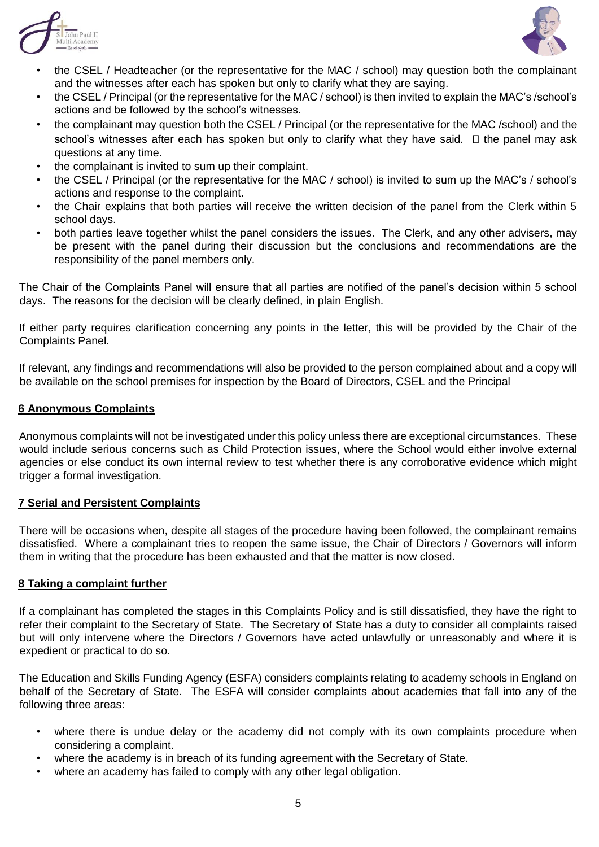



- the CSEL / Headteacher (or the representative for the MAC / school) may question both the complainant and the witnesses after each has spoken but only to clarify what they are saying.
- the CSEL / Principal (or the representative for the MAC / school) is then invited to explain the MAC's /school's actions and be followed by the school's witnesses.
- the complainant may question both the CSEL / Principal (or the representative for the MAC /school) and the school's witnesses after each has spoken but only to clarify what they have said.  $\Box$  the panel may ask questions at any time.
- the complainant is invited to sum up their complaint.
- the CSEL / Principal (or the representative for the MAC / school) is invited to sum up the MAC's / school's actions and response to the complaint.
- the Chair explains that both parties will receive the written decision of the panel from the Clerk within 5 school days.
- both parties leave together whilst the panel considers the issues. The Clerk, and any other advisers, may be present with the panel during their discussion but the conclusions and recommendations are the responsibility of the panel members only.

The Chair of the Complaints Panel will ensure that all parties are notified of the panel's decision within 5 school days. The reasons for the decision will be clearly defined, in plain English.

If either party requires clarification concerning any points in the letter, this will be provided by the Chair of the Complaints Panel.

If relevant, any findings and recommendations will also be provided to the person complained about and a copy will be available on the school premises for inspection by the Board of Directors, CSEL and the Principal

#### **6 Anonymous Complaints**

Anonymous complaints will not be investigated under this policy unless there are exceptional circumstances. These would include serious concerns such as Child Protection issues, where the School would either involve external agencies or else conduct its own internal review to test whether there is any corroborative evidence which might trigger a formal investigation.

#### **7 Serial and Persistent Complaints**

There will be occasions when, despite all stages of the procedure having been followed, the complainant remains dissatisfied. Where a complainant tries to reopen the same issue, the Chair of Directors / Governors will inform them in writing that the procedure has been exhausted and that the matter is now closed.

#### **8 Taking a complaint further**

If a complainant has completed the stages in this Complaints Policy and is still dissatisfied, they have the right to refer their complaint to the Secretary of State. The Secretary of State has a duty to consider all complaints raised but will only intervene where the Directors / Governors have acted unlawfully or unreasonably and where it is expedient or practical to do so.

The Education and Skills Funding Agency (ESFA) considers complaints relating to academy schools in England on behalf of the Secretary of State. The ESFA will consider complaints about academies that fall into any of the following three areas:

- where there is undue delay or the academy did not comply with its own complaints procedure when considering a complaint.
- where the academy is in breach of its funding agreement with the Secretary of State.
- where an academy has failed to comply with any other legal obligation.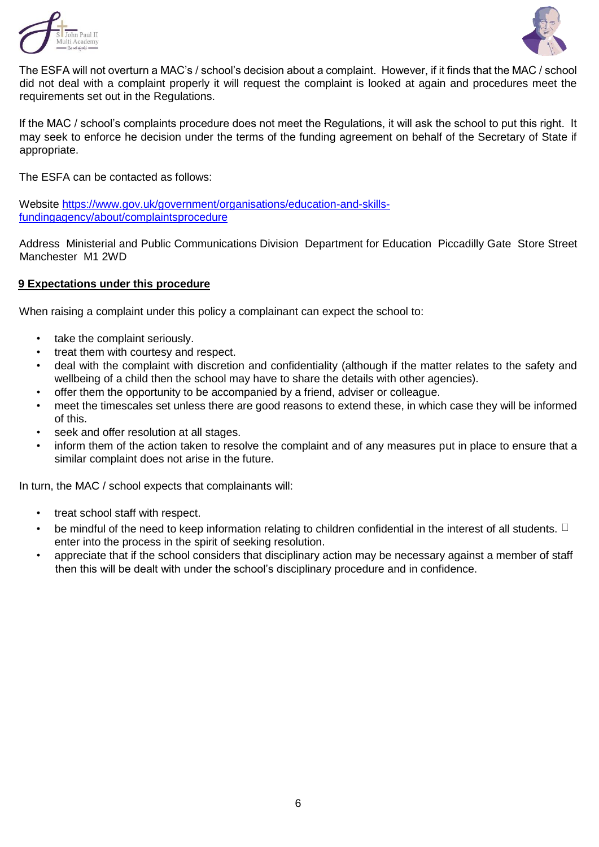



The ESFA will not overturn a MAC's / school's decision about a complaint. However, if it finds that the MAC / school did not deal with a complaint properly it will request the complaint is looked at again and procedures meet the requirements set out in the Regulations.

If the MAC / school's complaints procedure does not meet the Regulations, it will ask the school to put this right. It may seek to enforce he decision under the terms of the funding agreement on behalf of the Secretary of State if appropriate.

The ESFA can be contacted as follows:

Website [https://www.gov.uk/government/organisations/education-and-skills](https://www.gov.uk/government/organisations/education-and-skills-fundingagency/about/complaints-procedure)[fundingagency/about/complaintsprocedure](https://www.gov.uk/government/organisations/education-and-skills-fundingagency/about/complaints-procedure)

Address Ministerial and Public Communications Division Department for Education Piccadilly Gate Store Street Manchester M1 2WD

#### **9 Expectations under this procedure**

When raising a complaint under this policy a complainant can expect the school to:

- take the complaint seriously.
- treat them with courtesy and respect.
- deal with the complaint with discretion and confidentiality (although if the matter relates to the safety and wellbeing of a child then the school may have to share the details with other agencies).
- offer them the opportunity to be accompanied by a friend, adviser or colleague.
- meet the timescales set unless there are good reasons to extend these, in which case they will be informed of this.
- seek and offer resolution at all stages.
- inform them of the action taken to resolve the complaint and of any measures put in place to ensure that a similar complaint does not arise in the future.

In turn, the MAC / school expects that complainants will:

- treat school staff with respect.
- be mindful of the need to keep information relating to children confidential in the interest of all students.  $\Box$ enter into the process in the spirit of seeking resolution.
- appreciate that if the school considers that disciplinary action may be necessary against a member of staff then this will be dealt with under the school's disciplinary procedure and in confidence.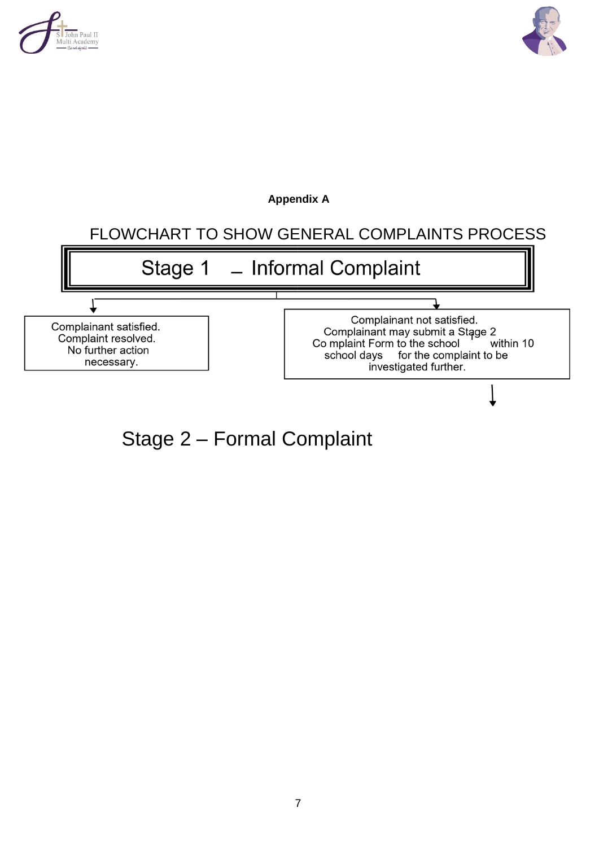



**Appendix A**

### FLOWCHART TO SHOW GENERAL COMPLAINTS PROCESS



Stage 2 – Formal Complaint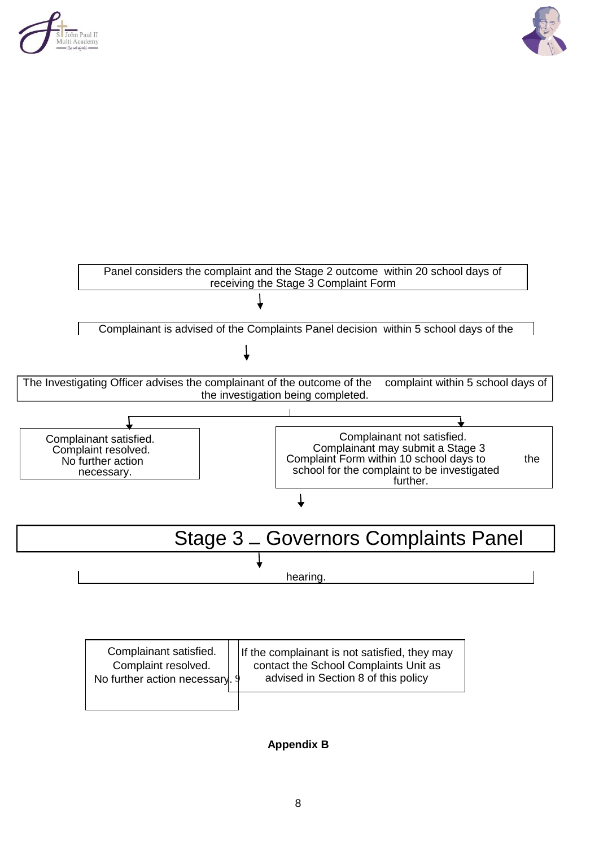





| Complainant satisfied.<br>Complaint resolved.<br>No further action necessary. 9 | If the complainant is not satisfied, they may<br>contact the School Complaints Unit as<br>advised in Section 8 of this policy |
|---------------------------------------------------------------------------------|-------------------------------------------------------------------------------------------------------------------------------|
|                                                                                 |                                                                                                                               |

**Appendix B**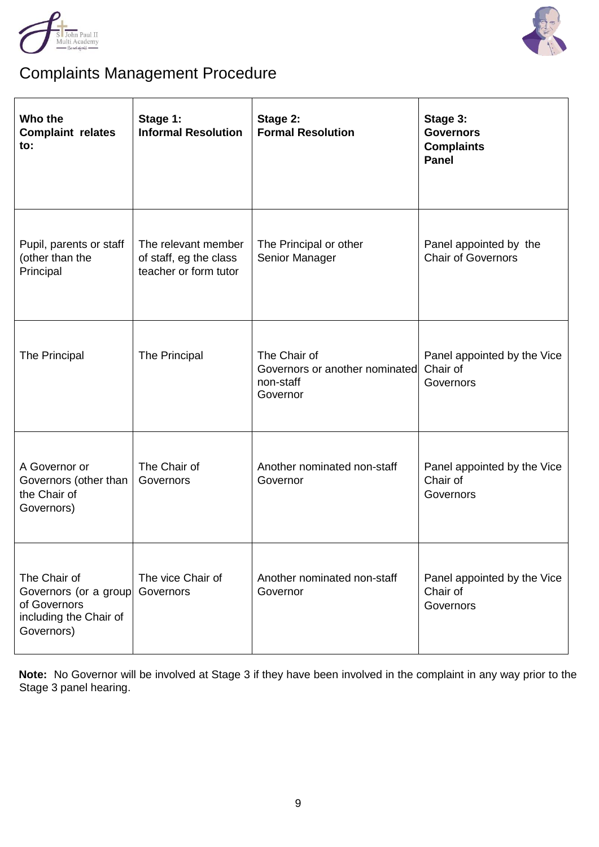



## Complaints Management Procedure

| Who the<br><b>Complaint relates</b><br>to:                                                    | Stage 1:<br><b>Informal Resolution</b>                                 | Stage 2:<br><b>Formal Resolution</b>                                    | Stage 3:<br><b>Governors</b><br><b>Complaints</b><br><b>Panel</b> |
|-----------------------------------------------------------------------------------------------|------------------------------------------------------------------------|-------------------------------------------------------------------------|-------------------------------------------------------------------|
| Pupil, parents or staff<br>(other than the<br>Principal                                       | The relevant member<br>of staff, eg the class<br>teacher or form tutor | The Principal or other<br>Senior Manager                                | Panel appointed by the<br><b>Chair of Governors</b>               |
| <b>The Principal</b>                                                                          | The Principal                                                          | The Chair of<br>Governors or another nominated<br>non-staff<br>Governor | Panel appointed by the Vice<br>Chair of<br>Governors              |
| A Governor or<br>Governors (other than<br>the Chair of<br>Governors)                          | The Chair of<br>Governors                                              | Another nominated non-staff<br>Governor                                 | Panel appointed by the Vice<br>Chair of<br>Governors              |
| The Chair of<br>Governors (or a group<br>of Governors<br>including the Chair of<br>Governors) | The vice Chair of<br>Governors                                         | Another nominated non-staff<br>Governor                                 | Panel appointed by the Vice<br>Chair of<br>Governors              |

**Note:** No Governor will be involved at Stage 3 if they have been involved in the complaint in any way prior to the Stage 3 panel hearing.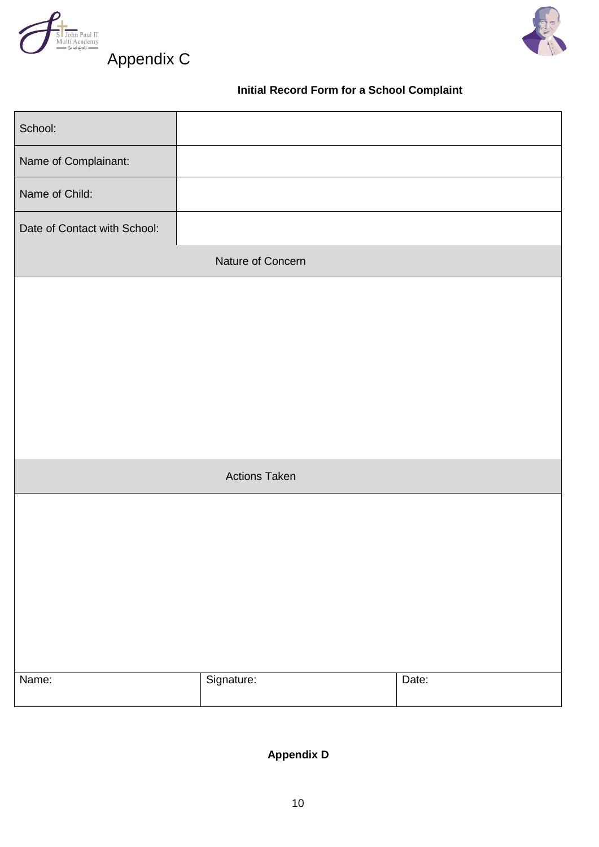



Appendix C

### **Initial Record Form for a School Complaint**

| School:                      |                      |       |
|------------------------------|----------------------|-------|
| Name of Complainant:         |                      |       |
| Name of Child:               |                      |       |
| Date of Contact with School: |                      |       |
|                              | Nature of Concern    |       |
|                              |                      |       |
|                              |                      |       |
|                              |                      |       |
|                              |                      |       |
|                              |                      |       |
|                              | <b>Actions Taken</b> |       |
|                              |                      |       |
|                              |                      |       |
|                              |                      |       |
|                              |                      |       |
|                              |                      |       |
|                              |                      |       |
| Name:                        | Signature:           | Date: |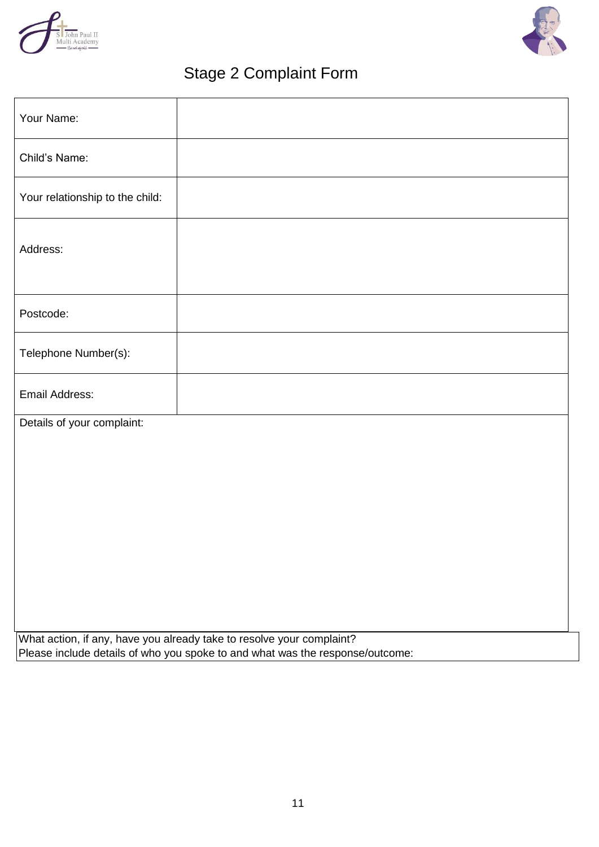



### Stage 2 Complaint Form

| Your Name:                      |                                                                               |
|---------------------------------|-------------------------------------------------------------------------------|
| Child's Name:                   |                                                                               |
| Your relationship to the child: |                                                                               |
| Address:                        |                                                                               |
| Postcode:                       |                                                                               |
| Telephone Number(s):            |                                                                               |
| <b>Email Address:</b>           |                                                                               |
| Details of your complaint:      |                                                                               |
|                                 |                                                                               |
|                                 |                                                                               |
|                                 |                                                                               |
|                                 |                                                                               |
|                                 |                                                                               |
|                                 |                                                                               |
|                                 | What action, if any, have you already take to resolve your complaint?         |
|                                 | Please include details of who you spoke to and what was the response/outcome: |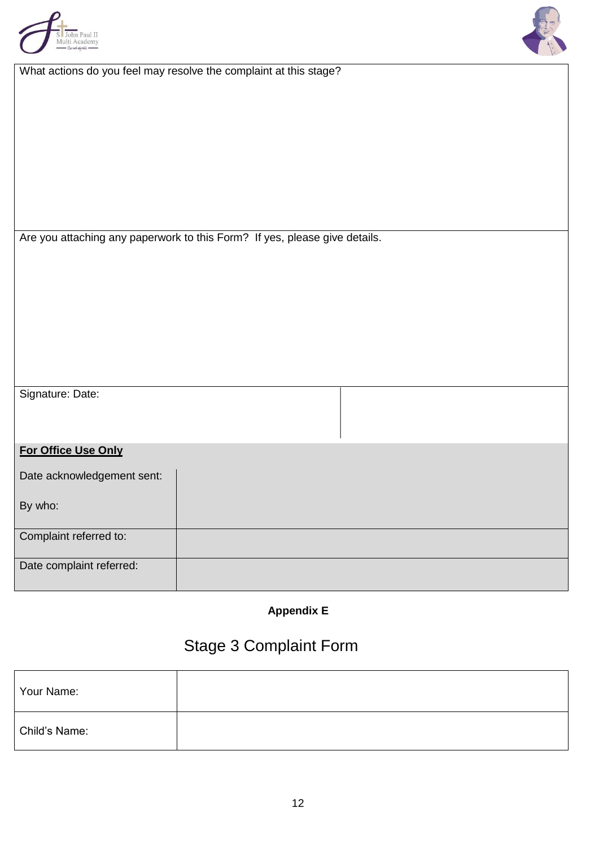

| What actions do you feel may resolve the complaint at this stage? |  |  |  |
|-------------------------------------------------------------------|--|--|--|
|                                                                   |  |  |  |

| Are you attaching any paperwork to this Form? If yes, please give details. |  |
|----------------------------------------------------------------------------|--|
|----------------------------------------------------------------------------|--|

| Signature: Date: |  |
|------------------|--|
|------------------|--|

### **For Office Use Only**

| Date acknowledgement sent: |  |
|----------------------------|--|
| By who:                    |  |
| Complaint referred to:     |  |
| Date complaint referred:   |  |

**Appendix E** 

## Stage 3 Complaint Form

| Your Name:    |  |
|---------------|--|
| Child's Name: |  |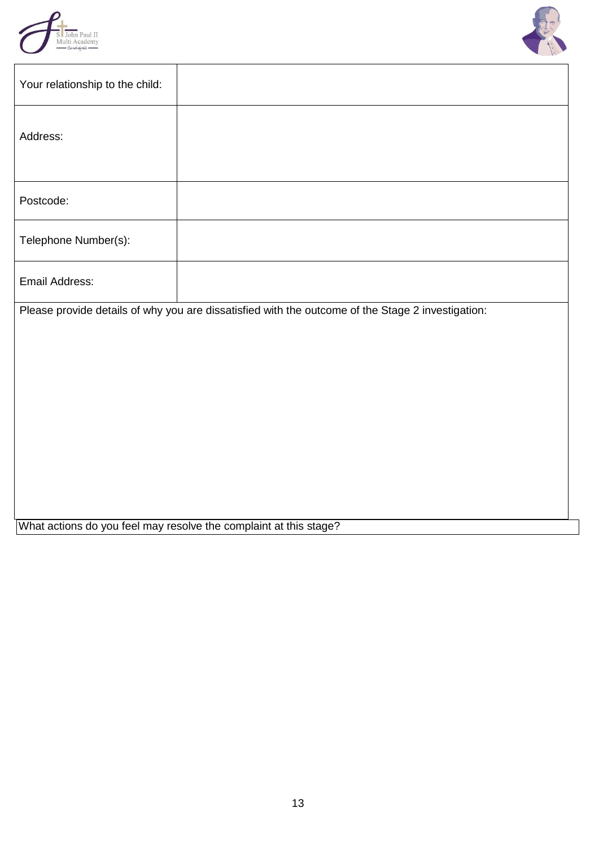



| Your relationship to the child:                                                                   |  |  |  |  |
|---------------------------------------------------------------------------------------------------|--|--|--|--|
| Address:                                                                                          |  |  |  |  |
| Postcode:                                                                                         |  |  |  |  |
| Telephone Number(s):                                                                              |  |  |  |  |
| Email Address:                                                                                    |  |  |  |  |
| Please provide details of why you are dissatisfied with the outcome of the Stage 2 investigation: |  |  |  |  |
|                                                                                                   |  |  |  |  |
|                                                                                                   |  |  |  |  |
|                                                                                                   |  |  |  |  |
|                                                                                                   |  |  |  |  |
|                                                                                                   |  |  |  |  |
|                                                                                                   |  |  |  |  |
|                                                                                                   |  |  |  |  |
|                                                                                                   |  |  |  |  |
| What actions do you feel may resolve the complaint at this stage?                                 |  |  |  |  |